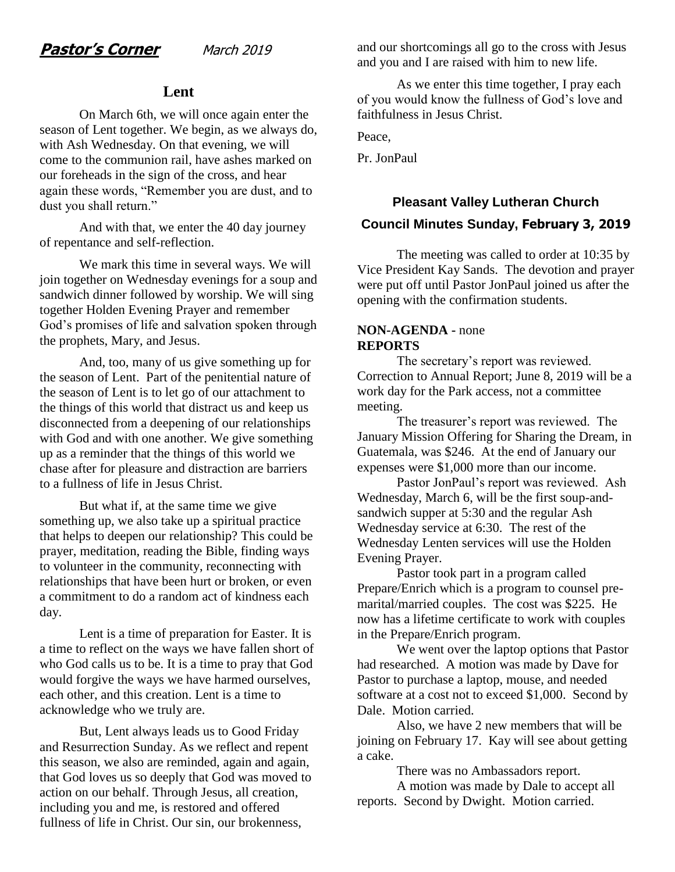### **Lent**

On March 6th, we will once again enter the season of Lent together. We begin, as we always do, with Ash Wednesday. On that evening, we will come to the communion rail, have ashes marked on our foreheads in the sign of the cross, and hear again these words, "Remember you are dust, and to dust you shall return."

And with that, we enter the 40 day journey of repentance and self-reflection.

We mark this time in several ways. We will join together on Wednesday evenings for a soup and sandwich dinner followed by worship. We will sing together Holden Evening Prayer and remember God's promises of life and salvation spoken through the prophets, Mary, and Jesus.

And, too, many of us give something up for the season of Lent. Part of the penitential nature of the season of Lent is to let go of our attachment to the things of this world that distract us and keep us disconnected from a deepening of our relationships with God and with one another. We give something up as a reminder that the things of this world we chase after for pleasure and distraction are barriers to a fullness of life in Jesus Christ.

But what if, at the same time we give something up, we also take up a spiritual practice that helps to deepen our relationship? This could be prayer, meditation, reading the Bible, finding ways to volunteer in the community, reconnecting with relationships that have been hurt or broken, or even a commitment to do a random act of kindness each day.

Lent is a time of preparation for Easter. It is a time to reflect on the ways we have fallen short of who God calls us to be. It is a time to pray that God would forgive the ways we have harmed ourselves, each other, and this creation. Lent is a time to acknowledge who we truly are.

But, Lent always leads us to Good Friday and Resurrection Sunday. As we reflect and repent this season, we also are reminded, again and again, that God loves us so deeply that God was moved to action on our behalf. Through Jesus, all creation, including you and me, is restored and offered fullness of life in Christ. Our sin, our brokenness,

and our shortcomings all go to the cross with Jesus and you and I are raised with him to new life.

As we enter this time together, I pray each of you would know the fullness of God's love and faithfulness in Jesus Christ.

Peace,

Pr. JonPaul

# **Pleasant Valley Lutheran Church Council Minutes Sunday, February 3, 2019**

The meeting was called to order at 10:35 by Vice President Kay Sands. The devotion and prayer were put off until Pastor JonPaul joined us after the opening with the confirmation students.

#### **NON-AGENDA -** none **REPORTS**

The secretary's report was reviewed. Correction to Annual Report; June 8, 2019 will be a work day for the Park access, not a committee meeting.

The treasurer's report was reviewed. The January Mission Offering for Sharing the Dream, in Guatemala, was \$246. At the end of January our expenses were \$1,000 more than our income.

Pastor JonPaul's report was reviewed. Ash Wednesday, March 6, will be the first soup-andsandwich supper at 5:30 and the regular Ash Wednesday service at 6:30. The rest of the Wednesday Lenten services will use the Holden Evening Prayer.

Pastor took part in a program called Prepare/Enrich which is a program to counsel premarital/married couples. The cost was \$225. He now has a lifetime certificate to work with couples in the Prepare/Enrich program.

We went over the laptop options that Pastor had researched. A motion was made by Dave for Pastor to purchase a laptop, mouse, and needed software at a cost not to exceed \$1,000. Second by Dale. Motion carried.

Also, we have 2 new members that will be joining on February 17. Kay will see about getting a cake.

There was no Ambassadors report.

A motion was made by Dale to accept all reports. Second by Dwight. Motion carried.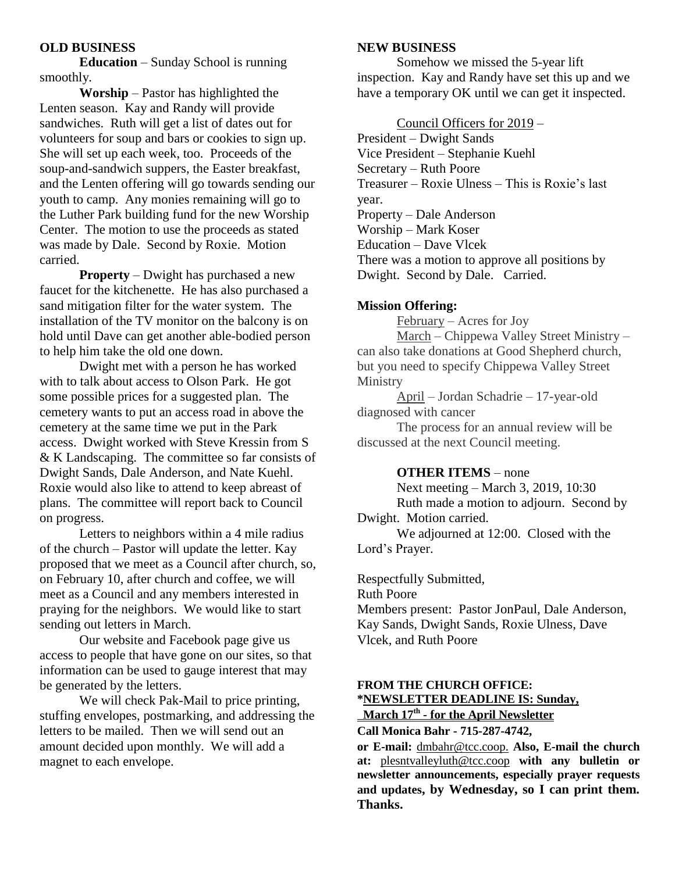#### **OLD BUSINESS**

**Education** – Sunday School is running smoothly.

**Worship** – Pastor has highlighted the Lenten season. Kay and Randy will provide sandwiches. Ruth will get a list of dates out for volunteers for soup and bars or cookies to sign up. She will set up each week, too. Proceeds of the soup-and-sandwich suppers, the Easter breakfast, and the Lenten offering will go towards sending our youth to camp. Any monies remaining will go to the Luther Park building fund for the new Worship Center. The motion to use the proceeds as stated was made by Dale. Second by Roxie. Motion carried.

**Property** – Dwight has purchased a new faucet for the kitchenette. He has also purchased a sand mitigation filter for the water system. The installation of the TV monitor on the balcony is on hold until Dave can get another able-bodied person to help him take the old one down.

Dwight met with a person he has worked with to talk about access to Olson Park. He got some possible prices for a suggested plan. The cemetery wants to put an access road in above the cemetery at the same time we put in the Park access. Dwight worked with Steve Kressin from S & K Landscaping. The committee so far consists of Dwight Sands, Dale Anderson, and Nate Kuehl. Roxie would also like to attend to keep abreast of plans. The committee will report back to Council on progress.

Letters to neighbors within a 4 mile radius of the church – Pastor will update the letter. Kay proposed that we meet as a Council after church, so, on February 10, after church and coffee, we will meet as a Council and any members interested in praying for the neighbors. We would like to start sending out letters in March.

Our website and Facebook page give us access to people that have gone on our sites, so that information can be used to gauge interest that may be generated by the letters.

We will check Pak-Mail to price printing, stuffing envelopes, postmarking, and addressing the letters to be mailed. Then we will send out an amount decided upon monthly. We will add a magnet to each envelope.

#### **NEW BUSINESS**

Somehow we missed the 5-year lift inspection. Kay and Randy have set this up and we have a temporary OK until we can get it inspected.

Council Officers for 2019 – President – Dwight Sands Vice President – Stephanie Kuehl Secretary – Ruth Poore Treasurer – Roxie Ulness – This is Roxie's last year. Property – Dale Anderson Worship – Mark Koser Education – Dave Vlcek There was a motion to approve all positions by Dwight. Second by Dale. Carried.

#### **Mission Offering:**

February – Acres for Joy March – Chippewa Valley Street Ministry – can also take donations at Good Shepherd church, but you need to specify Chippewa Valley Street

Ministry April – Jordan Schadrie – 17-year-old diagnosed with cancer

The process for an annual review will be discussed at the next Council meeting.

#### **OTHER ITEMS** – none

Next meeting – March 3, 2019, 10:30 Ruth made a motion to adjourn. Second by Dwight. Motion carried. We adjourned at 12:00. Closed with the Lord's Prayer.

Respectfully Submitted,

Ruth Poore

Members present: Pastor JonPaul, Dale Anderson, Kay Sands, Dwight Sands, Roxie Ulness, Dave Vlcek, and Ruth Poore

### **FROM THE CHURCH OFFICE: \*NEWSLETTER DEADLINE IS: Sunday,**

 **March 17th - for the April Newsletter Call Monica Bahr - 715-287-4742,** 

**or E-mail:** [dmbahr@tcc.coop.](mailto:dmbahr@tcc.coop) **Also, E-mail the church at:** [plesntvalleyluth@tcc.coop](mailto:plesntvalleyluth@tcc.coop) **with any bulletin or newsletter announcements, especially prayer requests and updates, by Wednesday, so I can print them. Thanks.**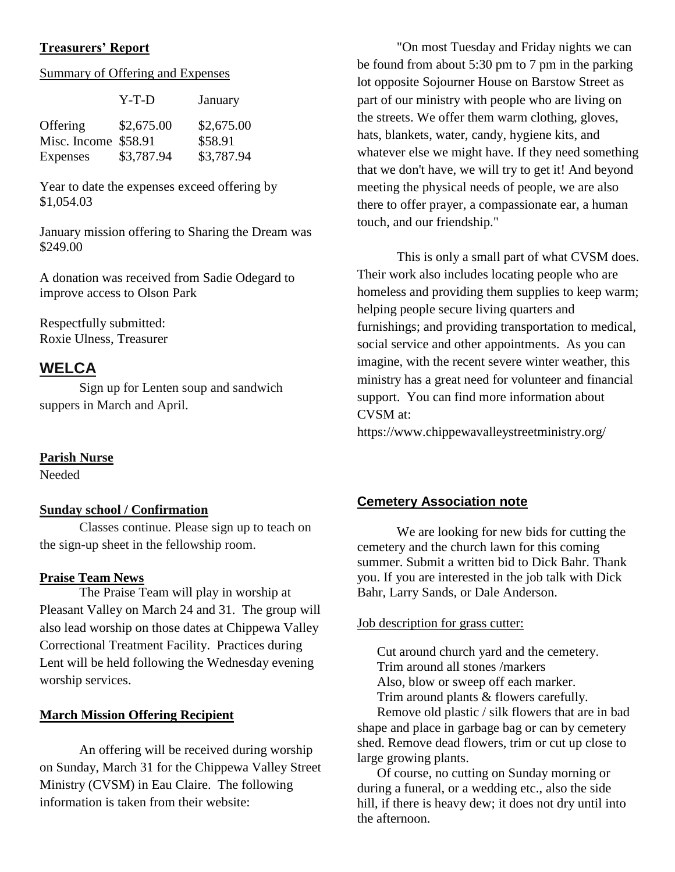### **Treasurers' Report**

#### Summary of Offering and Expenses

|                      | Y-T-D      | January    |
|----------------------|------------|------------|
| Offering             | \$2,675.00 | \$2,675.00 |
| Misc. Income \$58.91 |            | \$58.91    |
| Expenses             | \$3,787.94 | \$3,787.94 |

Year to date the expenses exceed offering by \$1,054.03

January mission offering to Sharing the Dream was \$249.00

A donation was received from Sadie Odegard to improve access to Olson Park

Respectfully submitted: Roxie Ulness, Treasurer

# **WELCA**

Sign up for Lenten soup and sandwich suppers in March and April.

### **Parish Nurse**

Needed

### **Sunday school / Confirmation**

Classes continue. Please sign up to teach on the sign-up sheet in the fellowship room.

#### **Praise Team News**

The Praise Team will play in worship at Pleasant Valley on March 24 and 31. The group will also lead worship on those dates at Chippewa Valley Correctional Treatment Facility. Practices during Lent will be held following the Wednesday evening worship services.

#### **March Mission Offering Recipient**

An offering will be received during worship on Sunday, March 31 for the Chippewa Valley Street Ministry (CVSM) in Eau Claire. The following information is taken from their website:

"On most Tuesday and Friday nights we can be found from about 5:30 pm to 7 pm in the parking lot opposite Sojourner House on Barstow Street as part of our ministry with people who are living on the streets. We offer them warm clothing, gloves, hats, blankets, water, candy, hygiene kits, and whatever else we might have. If they need something that we don't have, we will try to get it! And beyond meeting the physical needs of people, we are also there to offer prayer, a compassionate ear, a human touch, and our friendship."

This is only a small part of what CVSM does. Their work also includes locating people who are homeless and providing them supplies to keep warm; helping people secure living quarters and furnishings; and providing transportation to medical, social service and other appointments. As you can imagine, with the recent severe winter weather, this ministry has a great need for volunteer and financial support. You can find more information about CVSM at:

https://www.chippewavalleystreetministry.org/

### **Cemetery Association note**

We are looking for new bids for cutting the cemetery and the church lawn for this coming summer. Submit a written bid to Dick Bahr. Thank you. If you are interested in the job talk with Dick Bahr, Larry Sands, or Dale Anderson.

#### Job description for grass cutter:

Cut around church yard and the cemetery. Trim around all stones /markers Also, blow or sweep off each marker. Trim around plants & flowers carefully.

Remove old plastic / silk flowers that are in bad shape and place in garbage bag or can by cemetery shed. Remove dead flowers, trim or cut up close to large growing plants.

Of course, no cutting on Sunday morning or during a funeral, or a wedding etc., also the side hill, if there is heavy dew; it does not dry until into the afternoon.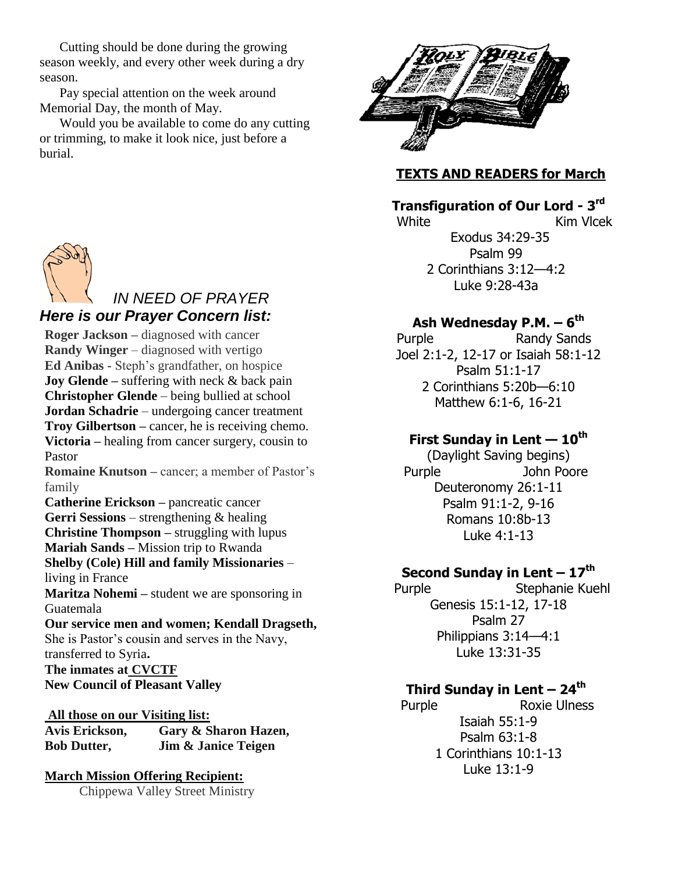Cutting should be done during the growing season weekly, and every other week during a dry season.

Pay special attention on the week around Memorial Day, the month of May.

Would you be available to come do any cutting or trimming, to make it look nice, just before a burial.



### *IN NEED OF PRAYER Here is our Prayer Concern list:*

**Roger Jackson –** diagnosed with cancer **Randy Winger** – diagnosed with vertigo **Ed Anibas -** Steph's grandfather, on hospice **Joy Glende** – suffering with neck & back pain **Christopher Glende** – being bullied at school **Jordan Schadrie** – undergoing cancer treatment **Troy Gilbertson –** cancer, he is receiving chemo. **Victoria –** healing from cancer surgery, cousin to Pastor **Romaine Knutson –** cancer; a member of Pastor's family **Catherine Erickson –** pancreatic cancer **Gerri Sessions** – strengthening & healing **Christine Thompson –** struggling with lupus **Mariah Sands –** Mission trip to Rwanda **Shelby (Cole) Hill and family Missionaries** – living in France **Maritza Nohemi –** student we are sponsoring in Guatemala **Our service men and women; Kendall Dragseth,**  She is Pastor's cousin and serves in the Navy, transferred to Syria**. The inmates at CVCTF New Council of Pleasant Valley**

**All those on our Visiting list: Avis Erickson, Gary & Sharon Hazen, Bob Dutter, Jim & Janice Teigen**

# **March Mission Offering Recipient:**

Chippewa Valley Street Ministry



## **TEXTS AND READERS for March**

# **Transfiguration of Our Lord - 3 rd**

White **Kim Vlcek** Exodus 34:29-35 Psalm 99 2 Corinthians 3:12—4:2 Luke 9:28-43a

# **Ash Wednesday P.M. – 6 th**

Purple Randy Sands Joel 2:1-2, 12-17 or Isaiah 58:1-12 Psalm 51:1-17 2 Corinthians 5:20b—6:10 Matthew 6:1-6, 16-21

## **First Sunday in Lent — 10th**

(Daylight Saving begins) Purple **John Poore** Deuteronomy 26:1-11 Psalm 91:1-2, 9-16 Romans 10:8b-13 Luke 4:1-13

## **Second Sunday in Lent – 17th**

 Purple Stephanie Kuehl Genesis 15:1-12, 17-18 Psalm 27 Philippians 3:14—4:1 Luke 13:31-35

### **Third Sunday in Lent – 24 th**

Purple Roxie Ulness Isaiah 55:1-9 Psalm 63:1-8 1 Corinthians 10:1-13 Luke 13:1-9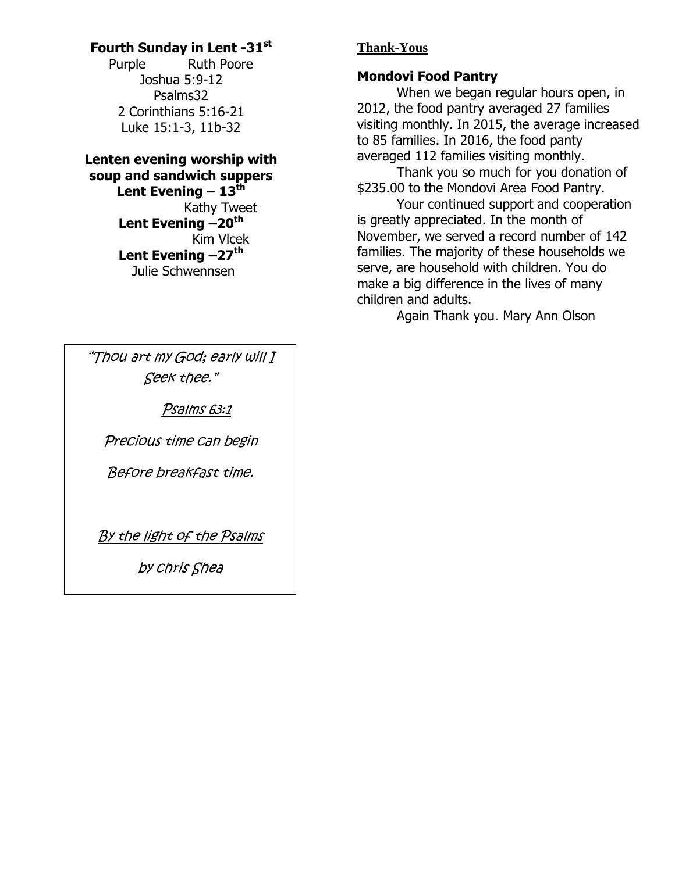# **Fourth Sunday in Lent -31st**

Purple Ruth Poore Joshua 5:9-12 Psalms32 2 Corinthians 5:16-21 Luke 15:1-3, 11b-32

### **Lenten evening worship with soup and sandwich suppers Lent Evening – 13th** Kathy Tweet **Lent Evening –20th** Kim Vlcek **Lent Evening –27th** Julie Schwennsen

"Thou art my God; early will I Seek thee."

Psalms 63:1

Precious time can begin

Before breakfast time.

By the light of the Psalms

by chris Shea

# **Thank-Yous**

# **Mondovi Food Pantry**

When we began regular hours open, in 2012, the food pantry averaged 27 families visiting monthly. In 2015, the average increased to 85 families. In 2016, the food panty averaged 112 families visiting monthly.

Thank you so much for you donation of \$235.00 to the Mondovi Area Food Pantry.

Your continued support and cooperation is greatly appreciated. In the month of November, we served a record number of 142 families. The majority of these households we serve, are household with children. You do make a big difference in the lives of many children and adults.

Again Thank you. Mary Ann Olson